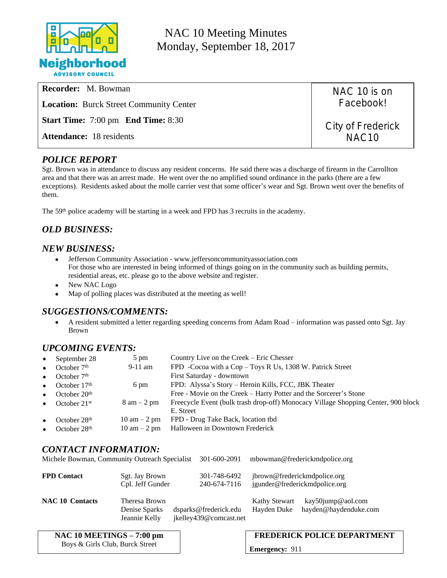

NAC 10 Meeting Minutes Monday, September 18, 2017

| <b>Recorder:</b> M. Bowman                       | NAC 10 is on                           |
|--------------------------------------------------|----------------------------------------|
| <b>Location:</b> Burck Street Community Center   | Facebook!                              |
| <b>Start Time:</b> 7:00 pm <b>End Time:</b> 8:30 | City of Frederick<br>NAC <sub>10</sub> |
| <b>Attendance:</b> 18 residents                  |                                        |
|                                                  |                                        |

## *POLICE REPORT*

Sgt. Brown was in attendance to discuss any resident concerns. He said there was a discharge of firearm in the Carrollton area and that there was an arrest made. He went over the no amplified sound ordinance in the parks (there are a few exceptions). Residents asked about the molle carrier vest that some officer's wear and Sgt. Brown went over the benefits of them.

The 59th police academy will be starting in a week and FPD has 3 recruits in the academy.

# *OLD BUSINESS:*

#### *NEW BUSINESS:*

- Jefferson Community Association [www.jeffersoncommunityassociation.com](http://www.jeffersoncommunityassociation.com) For those who are interested in being informed of things going on in the community such as building permits, residential areas, etc. please go to the above website and register.
- New NAC Logo
- Map of polling places was distributed at the meeting as well!

## *SUGGESTIONS/COMMENTS:*

 A resident submitted a letter regarding speeding concerns from Adam Road – information was passed onto Sgt. Jay Brown

## *UPCOMING EVENTS:*

| September 28                | $5 \text{ pm}$                 | Country Live on the Creek – Eric Chesser                                          |
|-----------------------------|--------------------------------|-----------------------------------------------------------------------------------|
| October $7th$<br>$\bullet$  | $9-11$ am                      | FPD -Cocoa with a Cop - Toys R Us, 1308 W. Patrick Street                         |
| October $7th$<br>$\bullet$  |                                | First Saturday - downtown                                                         |
| October $17th$<br>$\bullet$ | 6 pm                           | FPD: Alyssa's Story - Heroin Kills, FCC, JBK Theater                              |
| October $20th$<br>$\bullet$ |                                | Free - Movie on the Creek – Harry Potter and the Sorcerer's Stone                 |
| October $21st$<br>$\bullet$ | $8 \text{ am} - 2 \text{ pm}$  | Freecycle Event (bulk trash drop-off) Monocacy Village Shopping Center, 900 block |
|                             |                                | E. Street                                                                         |
| October $28th$              | $10 \text{ am} - 2 \text{ pm}$ | FPD - Drug Take Back, location tbd                                                |
| October 28 <sup>th</sup>    | $10 \text{ am} - 2 \text{ pm}$ | Halloween in Downtown Frederick                                                   |
|                             |                                |                                                                                   |

## *CONTACT INFORMATION:*

| Michele Bowman, Community Outreach Specialist |                                                 | 301-600-2091                                    |                                     | mbowman@frederickmdpolice.org                                 |
|-----------------------------------------------|-------------------------------------------------|-------------------------------------------------|-------------------------------------|---------------------------------------------------------------|
| <b>FPD Contact</b>                            | Sgt. Jay Brown<br>Cpl. Jeff Gunder              | 301-748-6492<br>240-674-7116                    |                                     | jbrown@frederickmdpolice.org<br>jgunder@frederickmdpolice.org |
| <b>NAC 10 Contacts</b>                        | Theresa Brown<br>Denise Sparks<br>Jeannie Kelly | dsparks@frederick.edu<br>jkelley439@comcast.net | <b>Kathy Stewart</b><br>Hayden Duke | kay50jump@aol.com<br>hayden@haydenduke.com                    |

| NAC 10 MEETINGS $-7:00$ pm      | <b>FREDERICK POLICE DEPARTMENT</b> |
|---------------------------------|------------------------------------|
| Boys & Girls Club, Burck Street | <b>Emergency: 911</b>              |